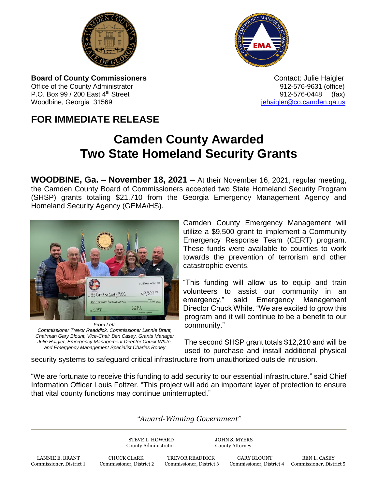



**Board of County Commissioners Contact: Julie Haigler Contact: Julie Haigler** Office of the County Administrator **912-576-9631** (office) P.O. Box 99 / 200 East 4<sup>th</sup> Street 912-576-0448 (fax) Woodbine, Georgia 31569 **images and all the set of the set of the set of the set of the set of the set of the set of the set of the set of the set of the set of the set of the set of the set of the set of the set of the se** 

## **FOR IMMEDIATE RELEASE**

## **Camden County Awarded Two State Homeland Security Grants**

**WOODBINE, Ga. – November 18, 2021 –** At their November 16, 2021, regular meeting, the Camden County Board of Commissioners accepted two State Homeland Security Program (SHSP) grants totaling \$21,710 from the Georgia Emergency Management Agency and Homeland Security Agency (GEMA/HS).



*From Left: Commissioner Trevor Readdick, Commissioner Lannie Brant, Chairman Gary Blount, Vice-Chair Ben Casey, Grants Manager Julie Haigler, Emergency Management Director Chuck White, and Emergency Management Specialist Charles Roney*

Camden County Emergency Management will utilize a \$9,500 grant to implement a Community Emergency Response Team (CERT) program. These funds were available to counties to work towards the prevention of terrorism and other catastrophic events.

"This funding will allow us to equip and train volunteers to assist our community in an emergency," said Emergency Management Director Chuck White. "We are excited to grow this program and it will continue to be a benefit to our community."

The second SHSP grant totals \$12,210 and will be used to purchase and install additional physical

security systems to safeguard critical infrastructure from unauthorized outside intrusion.

"We are fortunate to receive this funding to add security to our essential infrastructure." said Chief Information Officer Louis Foltzer. "This project will add an important layer of protection to ensure that vital county functions may continue uninterrupted."

## *"Award-Winning Government"*

STEVE L. HOWARD JOHN S. MYERS County Administrator County Attorney

LANNIE E. BRANT CHUCK CLARK TREVOR READDICK GARY BLOUNT BEN L. CASEY<br>2 Commissioner, District 2 Commissioner, District 3 Commissioner, District 4 Commissioner, Distr Commissioner, District 1 Commissioner, District 2 Commissioner, District 3 Commissioner, District 4 Commissioner, District 5